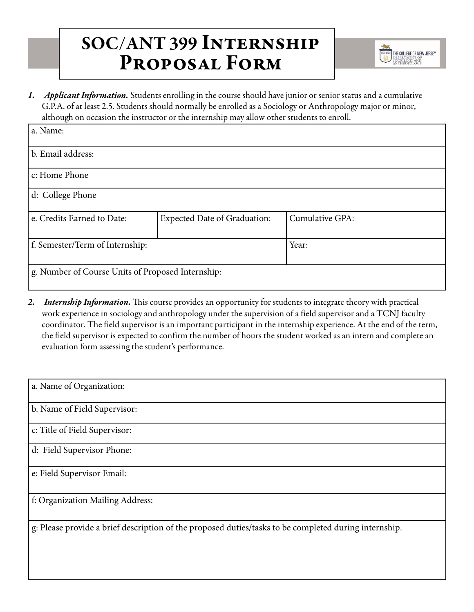## SOC/ANT 399 Internship Proposal Form



*1. Applicant Information.* Students enrolling in the course should have junior or senior status and a cumulative G.P.A. of at least 2.5. Students should normally be enrolled as a Sociology or Anthropology major or minor, although on occasion the instructor or the internship may allow other students to enroll.

| a. Name:                                          |                                     |                 |  |  |
|---------------------------------------------------|-------------------------------------|-----------------|--|--|
| b. Email address:                                 |                                     |                 |  |  |
| c: Home Phone                                     |                                     |                 |  |  |
| d: College Phone                                  |                                     |                 |  |  |
| e. Credits Earned to Date:                        | <b>Expected Date of Graduation:</b> | Cumulative GPA: |  |  |
| f. Semester/Term of Internship:                   |                                     | Year:           |  |  |
| g. Number of Course Units of Proposed Internship: |                                     |                 |  |  |

*2. Internship Information.* This course provides an opportunity for students to integrate theory with practical work experience in sociology and anthropology under the supervision of a field supervisor and a TCNJ faculty coordinator. The field supervisor is an important participant in the internship experience. At the end of the term, the field supervisor is expected to confirm the number of hours the student worked as an intern and complete an evaluation form assessing the student's performance.

| a. Name of Organization:                                                                              |
|-------------------------------------------------------------------------------------------------------|
| b. Name of Field Supervisor:                                                                          |
| c: Title of Field Supervisor:                                                                         |
| d: Field Supervisor Phone:                                                                            |
| e: Field Supervisor Email:                                                                            |
| f: Organization Mailing Address:                                                                      |
| g: Please provide a brief description of the proposed duties/tasks to be completed during internship. |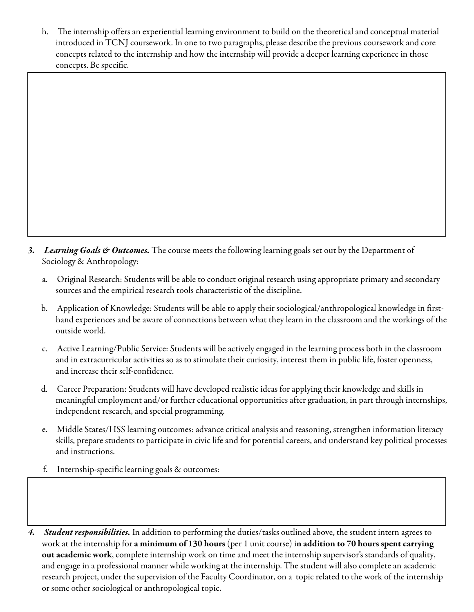h. The internship offers an experiential learning environment to build on the theoretical and conceptual material introduced in TCNJ coursework. In one to two paragraphs, please describe the previous coursework and core concepts related to the internship and how the internship will provide a deeper learning experience in those concepts. Be specific.

- *3. Learning Goals & Outcomes.* The course meets the following learning goals set out by the Department of Sociology & Anthropology:
	- a. Original Research: Students will be able to conduct original research using appropriate primary and secondary sources and the empirical research tools characteristic of the discipline.
	- b. Application of Knowledge: Students will be able to apply their sociological/anthropological knowledge in firsthand experiences and be aware of connections between what they learn in the classroom and the workings of the outside world.
	- c. Active Learning/Public Service: Students will be actively engaged in the learning process both in the classroom and in extracurricular activities so as to stimulate their curiosity, interest them in public life, foster openness, and increase their self-confidence.
	- d. Career Preparation: Students will have developed realistic ideas for applying their knowledge and skills in meaningful employment and/or further educational opportunities after graduation, in part through internships, independent research, and special programming.
	- e. Middle States/HSS learning outcomes: advance critical analysis and reasoning, strengthen information literacy skills, prepare students to participate in civic life and for potential careers, and understand key political processes and instructions.
	- f. Internship-specific learning goals & outcomes:
- *4. Student responsibilities.* In addition to performing the duties/tasks outlined above, the student intern agrees to work at the internship for a minimum of 130 hours (per 1 unit course) in addition to 70 hours spent carrying out academic work, complete internship work on time and meet the internship supervisor's standards of quality, and engage in a professional manner while working at the internship. The student will also complete an academic research project, under the supervision of the Faculty Coordinator, on a topic related to the work of the internship or some other sociological or anthropological topic.